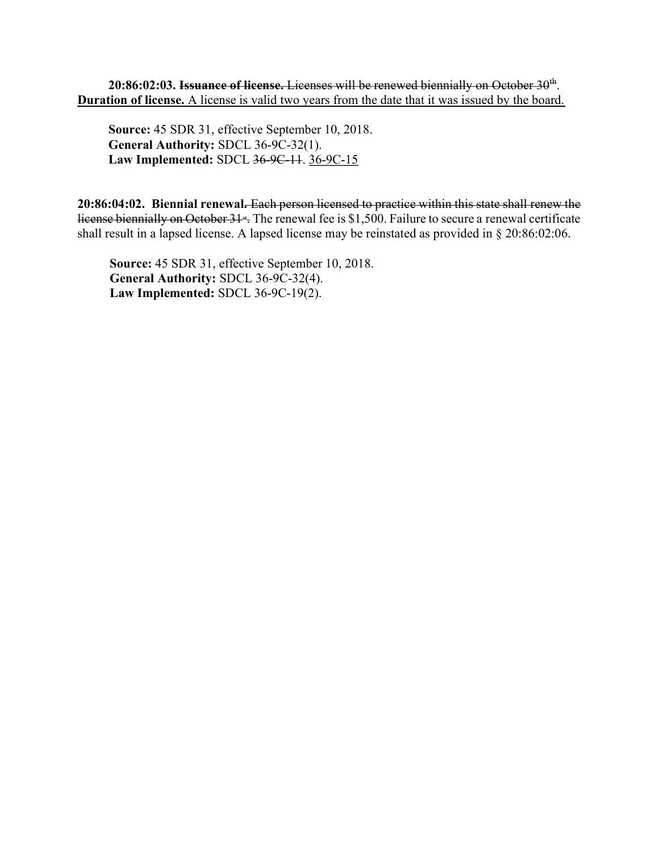$20:86:02:03$ . Issuance of license. Licenses will be renewed biennially on October  $30<sup>th</sup>$ . Duration of license. A license is valid two years from the date that it was issued by the board.

Source: 45 SDR 31, effective September 10, 2018. General Authority: SDCL 36-9C-32(1). Law Implemented: SDCL 36-9C-11. 36-9C-15

20:86:04:02. Biennial renewal. Each person licensed to practice within this state shall renew the license biennially on October 31<sup>st</sup>. The renewal fee is \$1,500. Failure to secure a renewal certificate shall result in a lapsed license. A lapsed license may be reinstated as provided in § 20:86:02:06.

 Source: 45 SDR 31, effective September 10, 2018. General Authority: SDCL 36-9C-32(4). Law Implemented: SDCL 36-9C-19(2).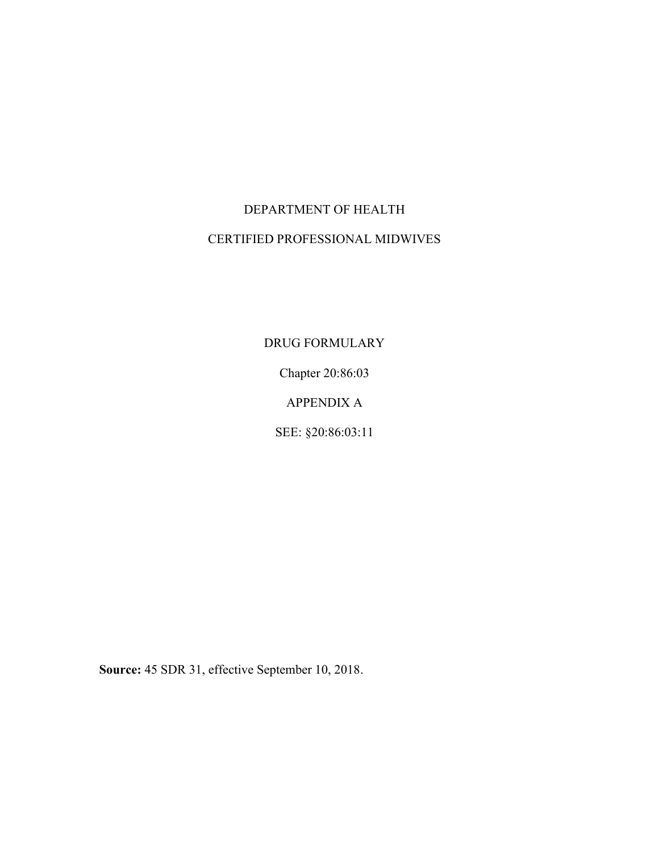## DEPARTMENT OF HEALTH CERTIFIED PROFESSIONAL MIDWIVES

DRUG FORMULARY Chapter 20:86:03 APPENDIX A SEE: §20:86:03:11

Source: 45 SDR 31, effective September 10, 2018.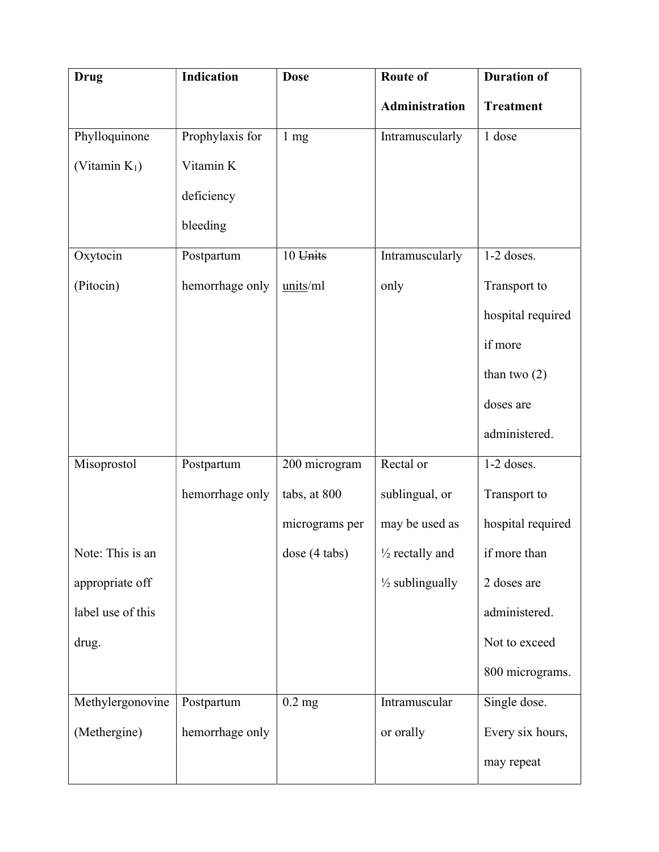| <b>Drug</b>       | Indication      | <b>Dose</b>    | Route of                   | <b>Duration of</b> |
|-------------------|-----------------|----------------|----------------------------|--------------------|
|                   |                 |                | <b>Administration</b>      | <b>Treatment</b>   |
| Phylloquinone     | Prophylaxis for | $1 \text{ mg}$ | Intramuscularly            | 1 dose             |
| (Vitamin $K_1$ )  | Vitamin K       |                |                            |                    |
|                   | deficiency      |                |                            |                    |
|                   | bleeding        |                |                            |                    |
| Oxytocin          | Postpartum      | 10 Units       | Intramuscularly            | 1-2 doses.         |
| (Pitocin)         | hemorrhage only | units/ml       | only                       | Transport to       |
|                   |                 |                |                            | hospital required  |
|                   |                 |                |                            | if more            |
|                   |                 |                |                            | than two $(2)$     |
|                   |                 |                |                            | doses are          |
|                   |                 |                |                            | administered.      |
| Misoprostol       | Postpartum      | 200 microgram  | Rectal or                  | 1-2 doses.         |
|                   | hemorrhage only | tabs, at 800   | sublingual, or             | Transport to       |
|                   |                 | micrograms per | may be used as             | hospital required  |
| Note: This is an  |                 | dose (4 tabs)  | $\frac{1}{2}$ rectally and | if more than       |
| appropriate off   |                 |                | $\frac{1}{2}$ sublingually | 2 doses are        |
| label use of this |                 |                |                            | administered.      |
| drug.             |                 |                |                            | Not to exceed      |
|                   |                 |                |                            | 800 micrograms.    |
| Methylergonovine  | Postpartum      | $0.2$ mg       | Intramuscular              | Single dose.       |
| (Methergine)      | hemorrhage only |                | or orally                  | Every six hours,   |
|                   |                 |                |                            | may repeat         |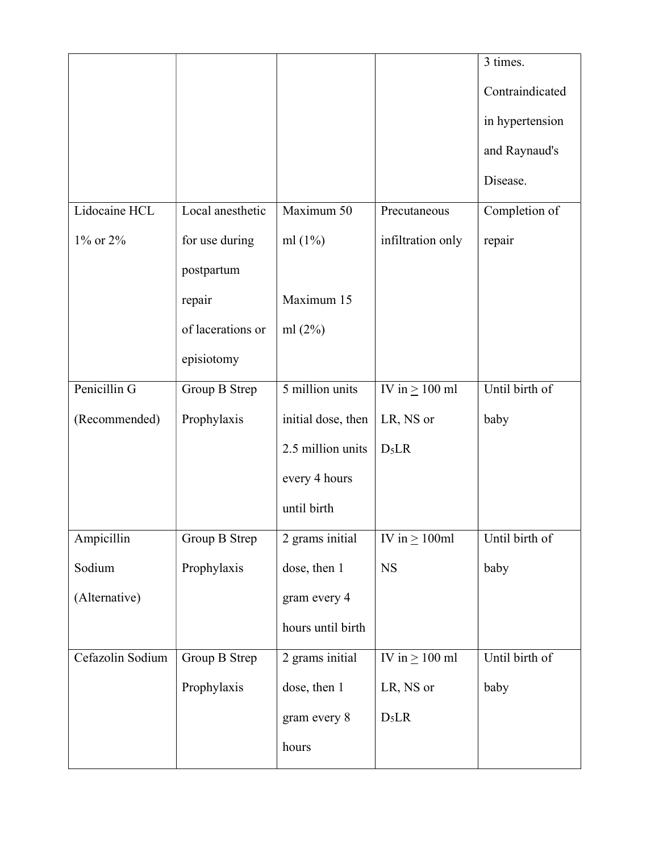|                  |                   |                    |                                  | 3 times.        |
|------------------|-------------------|--------------------|----------------------------------|-----------------|
|                  |                   |                    |                                  | Contraindicated |
|                  |                   |                    |                                  | in hypertension |
|                  |                   |                    |                                  | and Raynaud's   |
|                  |                   |                    |                                  | Disease.        |
| Lidocaine HCL    | Local anesthetic  | Maximum 50         | Precutaneous                     | Completion of   |
| 1% or 2%         | for use during    | ml $(1%)$          | infiltration only                | repair          |
|                  | postpartum        |                    |                                  |                 |
|                  | repair            | Maximum 15         |                                  |                 |
|                  | of lacerations or | ml $(2%)$          |                                  |                 |
|                  | episiotomy        |                    |                                  |                 |
| Penicillin G     | Group B Strep     | 5 million units    | IV in $\geq 100$ ml              | Until birth of  |
| (Recommended)    | Prophylaxis       | initial dose, then | LR, NS or                        | baby            |
|                  |                   | 2.5 million units  | $D_5LR$                          |                 |
|                  |                   | every 4 hours      |                                  |                 |
|                  |                   | until birth        |                                  |                 |
| Ampicillin       | Group B Strep     | 2 grams initial    | $\overline{IV}$ in $\geq 100$ ml | Until birth of  |
| Sodium           | Prophylaxis       | dose, then 1       | <b>NS</b>                        | baby            |
| (Alternative)    |                   | gram every 4       |                                  |                 |
|                  |                   | hours until birth  |                                  |                 |
| Cefazolin Sodium | Group B Strep     | 2 grams initial    | IV in $\geq 100$ ml              | Until birth of  |
|                  | Prophylaxis       | dose, then 1       | LR, NS or                        | baby            |
|                  |                   | gram every 8       | $D_5LR$                          |                 |
|                  |                   | hours              |                                  |                 |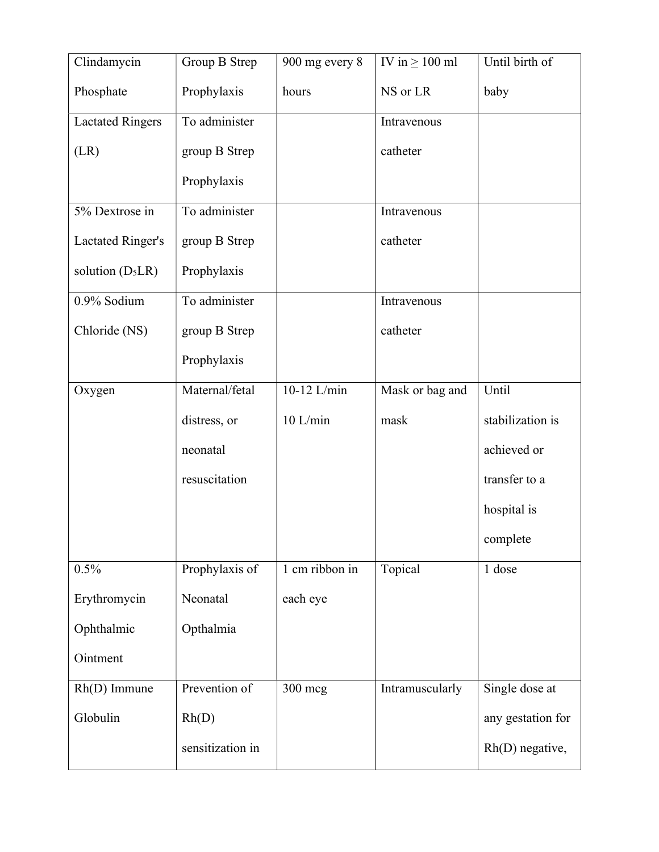| Clindamycin              | Group B Strep    | 900 mg every 8 | IV in $\geq 100$ ml | Until birth of    |
|--------------------------|------------------|----------------|---------------------|-------------------|
| Phosphate                | Prophylaxis      | hours          | NS or LR            | baby              |
| <b>Lactated Ringers</b>  | To administer    |                | Intravenous         |                   |
| (LR)                     | group B Strep    |                | catheter            |                   |
|                          | Prophylaxis      |                |                     |                   |
| 5% Dextrose in           | To administer    |                | Intravenous         |                   |
| <b>Lactated Ringer's</b> | group B Strep    |                | catheter            |                   |
| solution $(D_5LR)$       | Prophylaxis      |                |                     |                   |
| 0.9% Sodium              | To administer    |                | Intravenous         |                   |
| Chloride (NS)            | group B Strep    |                | catheter            |                   |
|                          | Prophylaxis      |                |                     |                   |
| Oxygen                   | Maternal/fetal   | 10-12 L/min    | Mask or bag and     | Until             |
|                          | distress, or     | $10$ L/min     | mask                | stabilization is  |
|                          | neonatal         |                |                     | achieved or       |
|                          | resuscitation    |                |                     | transfer to a     |
|                          |                  |                |                     | hospital is       |
|                          |                  |                |                     | complete          |
| 0.5%                     | Prophylaxis of   | 1 cm ribbon in | Topical             | 1 dose            |
| Erythromycin             | Neonatal         | each eye       |                     |                   |
| Ophthalmic               | Opthalmia        |                |                     |                   |
| Ointment                 |                  |                |                     |                   |
| $Rh(D)$ Immune           | Prevention of    | $300$ mcg      | Intramuscularly     | Single dose at    |
| Globulin                 | Rh(D)            |                |                     | any gestation for |
|                          | sensitization in |                |                     | $Rh(D)$ negative, |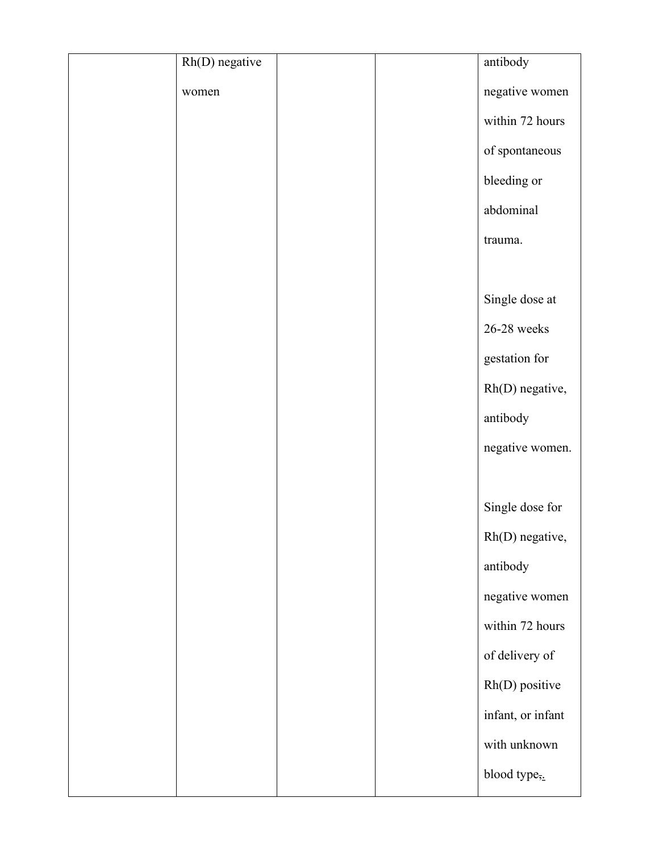| Rh(D) negative |  | antibody                  |
|----------------|--|---------------------------|
| women          |  | negative women            |
|                |  | within 72 hours           |
|                |  | of spontaneous            |
|                |  | bleeding or               |
|                |  | abdominal                 |
|                |  | trauma.                   |
|                |  |                           |
|                |  | Single dose at            |
|                |  | $26-28$ weeks             |
|                |  | gestation for             |
|                |  | Rh(D) negative,           |
|                |  | antibody                  |
|                |  | negative women.           |
|                |  |                           |
|                |  | Single dose for           |
|                |  | Rh(D) negative,           |
|                |  | antibody                  |
|                |  | negative women            |
|                |  | within 72 hours           |
|                |  | of delivery of            |
|                |  | Rh(D) positive            |
|                |  | infant, or infant         |
|                |  | with unknown              |
|                |  | blood type <sub>5</sub> . |